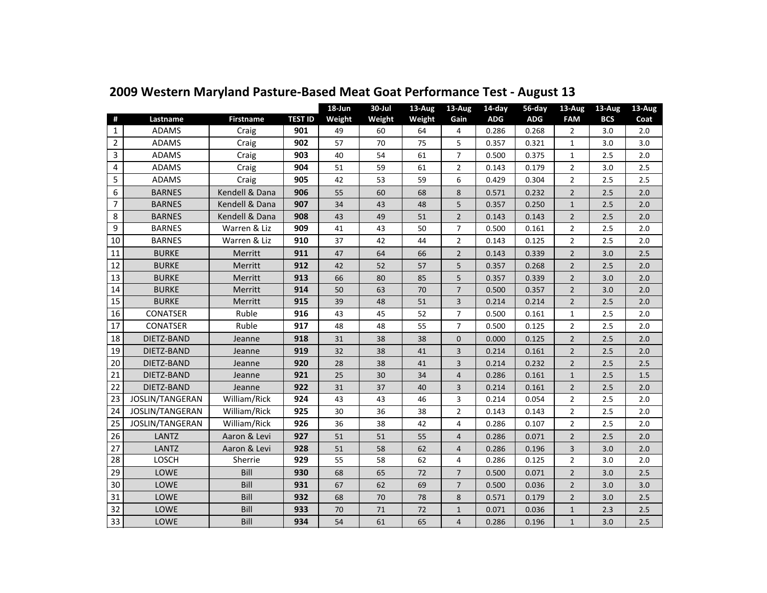|                         |                 |                  |                | 18-Jun | 30-Jul | 13-Aug | 13-Aug         | 14-day     | 56-day     | 13-Aug         | 13-Aug     | 13-Aug |
|-------------------------|-----------------|------------------|----------------|--------|--------|--------|----------------|------------|------------|----------------|------------|--------|
| #                       | Lastname        | <b>Firstname</b> | <b>TEST ID</b> | Weight | Weight | Weight | Gain           | <b>ADG</b> | <b>ADG</b> | <b>FAM</b>     | <b>BCS</b> | Coat   |
| $\mathbf{1}$            | <b>ADAMS</b>    | Craig            | 901            | 49     | 60     | 64     | 4              | 0.286      | 0.268      | $\overline{2}$ | 3.0        | 2.0    |
| $\overline{2}$          | <b>ADAMS</b>    | Craig            | 902            | 57     | 70     | 75     | 5              | 0.357      | 0.321      | $\mathbf{1}$   | 3.0        | 3.0    |
| 3                       | <b>ADAMS</b>    | Craig            | 903            | 40     | 54     | 61     | $\overline{7}$ | 0.500      | 0.375      | 1              | 2.5        | 2.0    |
| $\overline{\mathbf{4}}$ | <b>ADAMS</b>    | Craig            | 904            | 51     | 59     | 61     | 2              | 0.143      | 0.179      | $\overline{2}$ | 3.0        | 2.5    |
| 5                       | <b>ADAMS</b>    | Craig            | 905            | 42     | 53     | 59     | 6              | 0.429      | 0.304      | $\overline{2}$ | 2.5        | 2.5    |
| 6                       | <b>BARNES</b>   | Kendell & Dana   | 906            | 55     | 60     | 68     | 8              | 0.571      | 0.232      | $\overline{2}$ | 2.5        | 2.0    |
| 7                       | <b>BARNES</b>   | Kendell & Dana   | 907            | 34     | 43     | 48     | 5              | 0.357      | 0.250      | $\mathbf{1}$   | 2.5        | 2.0    |
| 8                       | <b>BARNES</b>   | Kendell & Dana   | 908            | 43     | 49     | 51     | $\overline{2}$ | 0.143      | 0.143      | $\overline{2}$ | 2.5        | 2.0    |
| 9                       | <b>BARNES</b>   | Warren & Liz     | 909            | 41     | 43     | 50     | $\overline{7}$ | 0.500      | 0.161      | $\overline{2}$ | 2.5        | 2.0    |
| 10                      | <b>BARNES</b>   | Warren & Liz     | 910            | 37     | 42     | 44     | 2              | 0.143      | 0.125      | $\overline{2}$ | 2.5        | 2.0    |
| 11                      | <b>BURKE</b>    | Merritt          | 911            | 47     | 64     | 66     | $\overline{2}$ | 0.143      | 0.339      | $\overline{2}$ | 3.0        | 2.5    |
| 12                      | <b>BURKE</b>    | Merritt          | 912            | 42     | 52     | 57     | 5              | 0.357      | 0.268      | $\overline{2}$ | 2.5        | 2.0    |
| 13                      | <b>BURKE</b>    | Merritt          | 913            | 66     | 80     | 85     | 5              | 0.357      | 0.339      | $\overline{2}$ | 3.0        | 2.0    |
| 14                      | <b>BURKE</b>    | Merritt          | 914            | 50     | 63     | 70     | $\overline{7}$ | 0.500      | 0.357      | $\overline{2}$ | 3.0        | 2.0    |
| 15                      | <b>BURKE</b>    | Merritt          | 915            | 39     | 48     | 51     | $\overline{3}$ | 0.214      | 0.214      | $\overline{2}$ | 2.5        | 2.0    |
| 16                      | <b>CONATSER</b> | Ruble            | 916            | 43     | 45     | 52     | $\overline{7}$ | 0.500      | 0.161      | $\mathbf{1}$   | 2.5        | 2.0    |
| 17                      | CONATSER        | Ruble            | 917            | 48     | 48     | 55     | $\overline{7}$ | 0.500      | 0.125      | $\overline{2}$ | 2.5        | 2.0    |
| 18                      | DIETZ-BAND      | Jeanne           | 918            | 31     | 38     | 38     | $\mathbf{0}$   | 0.000      | 0.125      | $\overline{2}$ | 2.5        | 2.0    |
| 19                      | DIETZ-BAND      | Jeanne           | 919            | 32     | 38     | 41     | 3              | 0.214      | 0.161      | $\overline{2}$ | 2.5        | 2.0    |
| 20                      | DIETZ-BAND      | Jeanne           | 920            | 28     | 38     | 41     | 3              | 0.214      | 0.232      | $\overline{2}$ | $2.5$      | 2.5    |
| 21                      | DIETZ-BAND      | Jeanne           | 921            | 25     | 30     | 34     | $\overline{4}$ | 0.286      | 0.161      | $\mathbf{1}$   | 2.5        | 1.5    |
| 22                      | DIETZ-BAND      | Jeanne           | 922            | 31     | 37     | 40     | 3              | 0.214      | 0.161      | $\overline{2}$ | 2.5        | 2.0    |
| 23                      | JOSLIN/TANGERAN | William/Rick     | 924            | 43     | 43     | 46     | 3              | 0.214      | 0.054      | $\overline{2}$ | 2.5        | 2.0    |
| 24                      | JOSLIN/TANGERAN | William/Rick     | 925            | 30     | 36     | 38     | $\overline{2}$ | 0.143      | 0.143      | $\overline{2}$ | 2.5        | 2.0    |
| 25                      | JOSLIN/TANGERAN | William/Rick     | 926            | 36     | 38     | 42     | 4              | 0.286      | 0.107      | 2              | 2.5        | 2.0    |
| 26                      | LANTZ           | Aaron & Levi     | 927            | 51     | 51     | 55     | 4              | 0.286      | 0.071      | $\overline{2}$ | 2.5        | 2.0    |
| 27                      | LANTZ           | Aaron & Levi     | 928            | 51     | 58     | 62     | $\overline{4}$ | 0.286      | 0.196      | 3              | 3.0        | 2.0    |
| 28                      | LOSCH           | Sherrie          | 929            | 55     | 58     | 62     | 4              | 0.286      | 0.125      | $\overline{2}$ | 3.0        | 2.0    |
| 29                      | LOWE            | Bill             | 930            | 68     | 65     | 72     | $\overline{7}$ | 0.500      | 0.071      | $\overline{2}$ | 3.0        | 2.5    |
| 30                      | LOWE            | Bill             | 931            | 67     | 62     | 69     | $\overline{7}$ | 0.500      | 0.036      | $\overline{2}$ | 3.0        | 3.0    |
| 31                      | LOWE            | Bill             | 932            | 68     | 70     | 78     | 8              | 0.571      | 0.179      | $\overline{2}$ | 3.0        | 2.5    |
| 32                      | LOWE            | Bill             | 933            | 70     | 71     | 72     | $\mathbf{1}$   | 0.071      | 0.036      | $\mathbf{1}$   | 2.3        | 2.5    |
| 33                      | LOWE            | Bill             | 934            | 54     | 61     | 65     | $\overline{4}$ | 0.286      | 0.196      | $\mathbf{1}$   | 3.0        | 2.5    |

## **2009 Western Maryland Pasture-Based Meat Goat Performance Test - August 13**